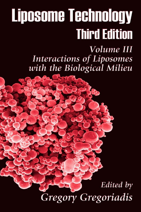# **Liposome Technology Third Edition**

Volume III Interactions of Liposomes with the Biological Milieu

Edited by **Gregory Gregoriadis**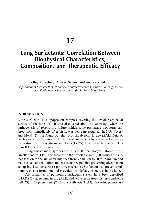# 17

## Lung Surfactants: Correlation Between Biophysical Characteristics, Composition, and Therapeutic Efficacy

#### Oleg Rosenberg, Andrey Seiliev, and Andrey Zhuikov

Department of Medical Biotechnology, Central Research Institute of Roentgenology and Radiology, Ministry of Health, St. Petersburg, Russia

#### INTRODUCTION

Lung surfactant is a lipoprotein complex covering the alveolar epithelial surface of the lungs (1). It was discovered about 50 years ago when the pathogenesis of respiratory failure, which some premature newborns suffered from immediately after birth, was being investigated. In 1959, Avery and Mead (2) first found out that bronchoalveolar lavage (BAL) fluid of newborns with the disease of hyaline membrane, which is now known as respiratory distress syndrome in infants (IRDS), lowered surface tension less than BAL of healthy newborns.

Lung surfactant is synthesized in type II pneumocytes, stored in the lamellar bodies (LBs), and secreted to the alveolar space (3). It reduces the surface tension at the air–water interface from  $72 \text{ mN/m}$  to  $20 \text{ to } 25 \text{ mN/m}$  and makes alveolar ventilation and gas exchange possible preventing alveoli from collapsing, i.e., it ensures respiratory mechanics. Surfactant also prevents pulmonary edema formation and provides host defense properties in the lung.

Abnormalities of pulmonary surfactant system have been described in IRDS (2), acute lung injury (ALI), and acute respiratory distress syndrome (ARDS) (4–6), pneumonia (7–10), cystic fibrosis (11,12), idiopathic pulmonary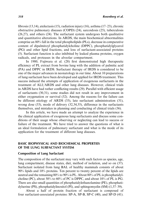fibrosis (13,14), atelectasis (15), radiation injury (16), asthma (17–23), chronic obstructive pulmonary diseases (COPD) (24), sarcoidosis (25), tuberculosis (26,27), and others (24). The surfactant system undergoes both qualitative and quantitative alterations. In ARDS, the main biochemical abnormalities comprise an 80% fall in the total phospholipids (PLs), decrease in comparative content of dipalmitoyl phosphatidylcholine (DPPC), phosphatidylglycerol (PG) and other lipid fractions, and loss of surfactant-associated proteins (5). Surfactant function is also inhibited by leaked plasma proteins, oxygen radicals, and proteases in the alveolar compartment.

In 1980, Fujiwara et al. (28) first demonstrated high therapeutic efficiency of PL extract from bovine lung with the addition of palmitic acid (PA) and DPPC in IRDS. Surfactant therapy of IRDS is considered to be one of the major advances in neonatology in our time. About 10 preparations of lung surfactant have been developed and applied for IRDS treatment. This success induced the attempts of application of exogenous surfactants in the treatment of ALI/ARDS and other lung diseases. However, clinical trials in ARDS have had rather conflicting results (29). Parallel with efficient usage of surfactants (30,31), some studies did not result in any improvement in either oxygenation or survival (32). Among the reasons for the failure can be different etiology of ARDS (33), late surfactant administration (31), wrong dose (33), mode of delivery (32,34,35), difference in the surfactants themselves, and mistakes in planning and conducting of clinical trials (36).

In this article, we have made an attempt to analyze the experience in the clinical application of exogenous lung surfactants and discuss some conditions of their usage whose observing or neglecting can lead to success or failure of the treatment. We have tried to answer the questions of what is an ideal formulation of pulmonary surfactant and what is the mode of its application for the treatment of different lung diseases.

#### BASIC BIOPHYSICAL AND BIOCHEMICAL PROPERTIES OF THE LUNG SURFACTANT SYSTEM

#### Composition of Lung Surfactant

The composition of the surfactant may vary with such factors as species, age, lung compartment, disease states, diet, method of isolation, and so on (37). Surfactant isolated from lung BAL of healthy mammals consists of about 90% lipids and 10% proteins. Ten percent to twenty percent of the lipids are neutral and the remaining 80% to 90% is PL. About 80% of PL is phosphatidylcholine (PC), about 50% to 60% of PC is DPPC, and about 10% of PL is PG. There are also small quantities of phosphatidylethanolamine (PE), phosphatidylserine (PS), phosphatidylinositol (PI), and sphingomyelin (SM) (1,37–39).

About a half of protein fraction of surfactant is composed of four surfactant-associated proteins: SP-A, SP-B, SP-C (40), and SP-D (41).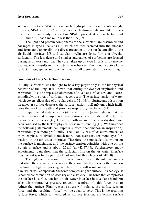Whereas SP-B and SP-C are extremely hydrophobic low-molecular-weight proteins, SP-A and SP-D are hydrophilic high-molecular-weight proteins from the protein family of collectins. SP-A represents 4% of surfactant and SP-B and SP-C each make up less than  $1\%$  (37).

The lipid and protein components of the surfactant are assembled and packaged in type II cells as LB, which are then secreted into the airspace and form tubular myelin, the direct precursor to the surfactant film at the air–liquid interface. LB and tubular myelin are dense forms of alveolar surfactant. The less dense and smaller aggregates of surfactant are formed during respiratory motion. They are taken up by type II cells or by macrophages, which results in a consistent ratio between functionally active large surfactant aggregates and dysfunctional small aggregates in normal lung.

#### Functions of Lung Surfactant System

Initially, surfactant was thought to be a key player only in the biophysical behavior of the lung. It is known that during the cycle of inspiration and expiration, fast and repeated alteration of alveolar surface size and, correspondingly, the area of surfactant cover occur. The surface tension of water which covers glicocalex of alveolar cells is  $72 \text{ mN/m}$ . Surfactant adsorption on alveolar surface decreases the surface tension to  $23 \text{ mN/m}$ , which facilitates the work of breath and provides respiratory mechanics (42).

Experimental data in vitro (42) and in vivo (43–45) shows that the surface tension at compression (expiration) falls to about  $0 \text{ mN/m}$  at the water–air interface (42). However, both we and other investigators have been confused by the lack of physical sense in this finding (46). We think that the following statements can explain surface phenomenon in inspiration/ expiration cycle more profoundly. The quantity of surface-active molecules in water phase of alveoli is much more than necessary for monolayer formation on the air–water interface. Therefore, the molecule adsorption on the surface is maximum, and the surface tension coincides with one on the PL–air interface and is about  $25 \text{ mN/m}$  (42,47,48). Furthermore, many experimental data show that the surfactant film on the air–water interface may consist (probably partly) of not one but three layers (42,49,50).

The high concentration of surfactant molecules on the interface means that when the surface area decreases, they come tightly to each other; and on reaching the tightest packing, repulsive force will result in exertion in the film, which will compensate the force compressing the surface. In rheology, it is named concatenation of viscosity and elasticity. The force that compresses the surface is surface tension on air–water interface in alveolar  $(25 \text{ mN/m})$ after adsorption). At pressure reduction (expiration), this force tries to reduce the surface. Finally, elastic stress will balance the surface tension force, and the resulting ''force'' will be equal to zero. This is the resulting surface force, which is measured as surface tension. Surfactant surface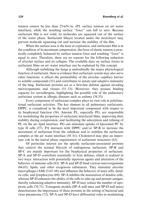tension cannot be less than  $25 \text{ mN/m}$ , (PL surface tension on air–water interface), while the resulting surface ''force'' can fall to zero. Because surfactant film is not solid, its molecules are squeezed out of the surface of the water phase. Surfactant bilayer located under the monolayer may prevent molecule squeezing out and increase the stability of the film.

When the surface area is the least at expiration, and surfactant film is in the condition of its maximum compression, the force of elastic tension is practically completely balanced by surface tension force and resulting ''force'' is equal to zero. Therefore, there are no reasons for the following reduction of alveolar surface and its collapse. The available data on surface forces in surfactant films on air–water interface can be explained by this concept.

Although stabilizing the lungs is undoubtedly the major physiological function of surfactant, there is evidence that surfactant system may also serve other functions: it affects the permeability of the alveolar–capillary barrier to soluble compounds (51) and contributes to innate and adaptive immunity of the lung. Surfactant proteins act as a first-line defense against invading microorganisms and viruses (51–53). Moreover, they possess binding capacity for aeroallergens, highlighting the possible role of the pulmonary surfactant system in allergic diseases such as asthma (54,55).

Every component of surfactant complex plays its own role in polyfunctional surfactant activities. The key element in all pulmonary surfactants, DPPC, is considered to be the most important component with respect to its biophysical function (56). Anionic PL, especially PG, are responsible for modulating the properties of surfactant interfacial films, improving their stability during compression, and facilitating the adsorption and refining of PL on the air–lipid interface. PG can stimulate uptake of liposomal PC by type II cells (57). PA interacts with DPPC and/or SP-B to increase the movement of surfactant from the subphase and to stabilize the surfactant complex at the air–water interface (58–61). Cholesterol may play an important role in the lateral phase organization of surfactant structures (62).

Of particular interest are the specific surfactant-associated proteins that control the normal lifecycle of endogenous surfactant. SP-B and SP-C are mainly important for the biophysical properties of surfactant. SP-A and SP-D contribute essentially to host defense, which is realized in two ways: interaction with potentially injurious agents and alteration of the behavior of immune cells (63). SP-A and SP-D bind various microorganisms (64,65), lipids, and other exogenous substances. They stimulate alveolar macrophages (AM) (5,65–68) and influence the behavior of mast cells, dendric cells, and lymphocytes (69). SP-A inhibits the maturation of dendric cells, whereas SP-D enhances the ability of the cells to take up and present antigen, thereby enhancing adaptive immunity. SP-D may reduce the number of apoptotic cells (70,71). Transgenic models (SP-A null mice and SP-D null mice) demonstrates the importance of these proteins in the setting of bacterial and virus pneumonia (72). SP-A and SP-D have differential roles in modulating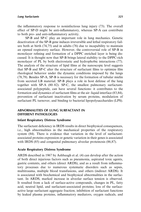the inflammatory response to noninfectious lung injury (73). The overall effect of SP-D might be anti-inflammatory, whereas SP-A can contribute to both pro- and anti-inflammatory activity.

SP-B and SP-C play an important role in lung mechanics. Genetic deactivation of the SP-B gene induces irreversible and lethal respiratory failure both at birth (74,75) and in adults (76) due to incapability to maintain an opened respiratory surface. However, the controversial role of SP-B in monolayer refining and formation of a DPPC enriched layer is being discussed. It is thought now that SP-B brings lateral stability to the DPPC-rich monolayer of PL by both electrostatic and hydrophobic interactions (77). The analysis of the structure of lipid films at the nanoscopic level suggests that SP-B and SP-C alter the structure of surfactant films to optimize film rheological behavior under the dynamic conditions imposed by the lungs (78,79). Besides SP-A, SP-B is necessary for the formation of tubular mielin from secreted LB material. SP-B plays a role in host defense of the lung together with SP-A (80–82). SP-C, the smallest pulmonary surfactantassociated polypeptide, can have several functions: it contributes to the formation and dynamics of surfactant films at the air–liquid interface (83,84), prevention of surfactant inactivation by serum proteins, modulation of surfactant PL turnover, and binding to bacterial lipopolysaccharides (LPS).

#### ABNORMALITIES OF LUNG SURFACTANT IN DIFFERENT PATHOLOGIES

#### Infant Respiratory Distress Syndrome

The surfactant deficiency in IRDS results in direct biophysical consequences, i.e., high abnormalities in the mechanical properties of the respiratory system (84). There is evidence that variation in the level of surfactantassociated proteins expression or genetic variation in their genes is associated with IRDS (85) and congenital pulmonary alveolar proteinosis (86,87).

#### Acute Respiratory Distress Syndrome

ARDS described in 1967 by Ashbaugh et al. (4) can develop after the action of both direct injurious factors such as pneumonia, aspirated toxic agents, gastric contents, and others (direct ARDS), and as a result from inflammatory processes due to numerous systematic disorders such as sepsis, multitrauma, multiple blood transfusions, and others (indirect ARDS). It is associated with biochemical and biophysical abnormalities in the surfactant. In ARDS, marked increase in alveolar surface tension is observed. It resulted from a lack of surface-active compounds, changes in PL, fatty acid, neutral lipid, and surfactant-associated proteins; loss of the surfaceactive large surfactant aggregate fraction; inhibition of surfactant functions by leaked plasma proteins, inflammatory mediators, oxygen radicals, and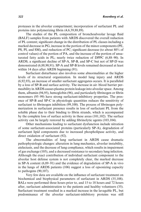proteases in the alveolar compartment; incorporation of surfactant PL and proteins into polymerizing fibrin (4,6,39,88,89).

The studies of the PL composition of bronchoalveolar lavage fluid (BALF) samples from patients with ARDS discovered the overall reduction of PL content; significant change in the distribution of PL classes including a marked decrease in PG, increase in the portion of the minor components (PE, PS, PI, and SM), and reduction of PC; significant decrease (to about 80% of control values) of the portion of PA, and the increase of the portion of unsaturated fatty acids in PL; nearly twice reduction of DPPC (6,88–90). In ARDS, a significant decline of SP-A, SP-B, and SP-C but not of SP-D was demonstrated (6,88,90,91). SP-A and SP-B levels remained decreased at least within 14 days after ARDS beginning (91).

Surfactant disturbance also involves some abnormalities at the higher levels of its structural organization. In model lung injury and ARDS (6,92,93), an increase of smaller surfactant aggregates occurs. It is paralleled by a loss of SP-B and surface activity. The increase in air–blood barrier permeability in ARDS causes plasma protein leakage into alveolar space. Among them, albumin (94,95), hemoglobin (96), and particularly fibrinogen or fibrin monomers (95–99) have strong surfactant-inhibitory properties. The presence of SP-B and SP-C in physiologic quantities reduces the sensitivity of surfactant to fibrinogen inhibition (99,100). The process of fibrinogen polymerization in surfactant presence results in loss of surfactant PL from the soluble phase due to their binding to fibrin strands, which is accompanied by the complete loss of surface activity in these areas (101,102). The surface activity can be largely restored by adding fibrinolytic agents (103,104).

Other mechanisms leading to surfactant dysfunction include nitration of some surfactant-associated proteins (particularly SP-A), degradation of surfactant lipid components due to increased phospholipase activity, and direct oxidation of surfactant (92).

The abnormalities of lung surfactant in ARDS cause dramatic pathophysiologic changes: alteration in lung mechanics, alveolar instability, atelectasis, and the decrease of lung compliance, which results in impairment of gas exchange (105), and a decreased resistance to secondary lung infection. Although the exact contribution of individual surfactant component to the alveolar host defense system is not completely clear, the marked decrease in SP-A content (6,89–91) and the evidence of degradation of SP-A in vivo in the lungs of ARDS patients (106) suggest a loss of opsonizing capacity to pathogens (90,107).

Very few data are available on the influence of surfactant treatment on biochemical and biophysical parameters of surfactant in ARDS (35,108). BALs were performed three hours prior to, and 15 to 18 hours and 72 hours after, surfactant administration to the patients and healthy volunteers (35). Surfactant treatment resulted in a marked increase in the lavagable PL, but predominance of the alveolar surfactant-inhibitory proteins was still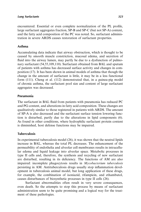## $\mathcal{L}$

encountered. Essential or even complete normalization of the PL profile, large surfactant aggregates fraction, SP-B and SP-C (but not SP-A) content, and the fatty acid composition of the PC was noted. So, surfactant administration in severe ARDS causes restoration of surfactant properties.

#### Asthma

Accumulating data indicate that airway obstruction, which is thought to be caused by smooth muscle constriction, mucosal edema, and secretion of fluid into the airway lumen, may partly be due to a dysfunction of pulmonary surfactant (54,55,109,110). Surfactant obtained from BAL and sputum of patients with asthma has decreased surface activity and changes in composition (17). It has been shown in animal models of asthma that though the change in the amount of surfactant is little, it may be in a less functional form (111). Cheng et al. (112) demonstrated that, in a guinea-pig model of chronic asthma, the surfactant pool size and content of large surfactant aggregates was decreased.

#### Pneumonia

The surfactant in BAL fluid from patients with pneumonia has reduced PC and PG content, and alterations in fatty acid composition. These changes are qualitatively similar to those registered in patients with ARDS. The amount of SP-A is also decreased and the surfactant surface tension lowering function is disturbed, partly due to the alterations in lipid components (6). As found in other conditions, where hydrophilic surfactant protein content is diminished, host defense functions may be impaired.

#### Tuberculosis

In experimental tuberculosis model (26), it was shown that the neutral lipids increase in BAL, whereas the total PL decreases. The enhancement of the permeability of endothelia and alveolar cell membranes results in intracellular edema and liquid leakage into alveolar space. Metabolic processes in type II cells and, therefore, the synthesis and recycling of new surfactant are disturbed, resulting in its deficiency. The functions of AM are also impaired: incomplete phagocytosis results in Mycobacterium tuberculosis persisting in AM. Antituberculosis drugs usually stop inflammation development in tuberculosis animal model, but long application of these drugs, for example, the combination of isoniazid, rifampicin, and ethambutol, causes disturbances of biosynthetic processes in type II cells (26).

Surfactant abnormalities often result in very severe consequences, even death. So the attempts to stop this process by means of surfactant administration seem to be quite promising and a logical way for the treatment of these pathologies.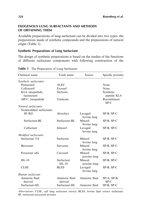#### EXOGENOUS LUNG SURFACTANTS AND METHODS OF OBTAINING THEM

Available preparations of lung surfactant can be divided into two types: the preparations made of synthetic compounds and the preparations of natural origin (Table 1).

#### Synthetic Preparations of Lung Surfactant

The design of synthetic preparations is based on the studies of the functions of different surfactant components with following construction of the

| Chemical name                    | Trade name                | Source                 | Specific proteins        |
|----------------------------------|---------------------------|------------------------|--------------------------|
| Synthetic surfactants            |                           |                        |                          |
| Pumactant                        | <b>ALEC</b>               |                        | None                     |
| Colfosceril                      | Exosurf                   |                        | None                     |
| KL4, sinapultide,<br>lucinactant | Surfaxin                  |                        | Synthetic<br>peptide KL4 |
| rSP-C, lusupultide               | Venticute                 |                        | Recombinant<br>$SP-C$    |
| Natural surfactants              |                           |                        |                          |
| Nonmodified surfactants          |                           |                        |                          |
| $SF-RI1$                         | Alveofact                 | Lavaged<br>bovine lung | $SP-B, SP-C$             |
| Surfactant-BL                    | Surfactant-BL             | Minced<br>bovine lung  | $SP-B, SP-C$             |
| Calfactant                       | Infasurf                  | Lavaged<br>bovine lung | SP-B, SP-C               |
| Modified surfactants             |                           |                        |                          |
| Surfactant TA                    | Surfacten                 | Minced<br>bovine lung  | SP-B, SP-C               |
| <b>Beractant</b>                 | Survanta                  | Minced<br>bovine lung  | SP-B, SP-C               |
| Poractant alfa                   | Curosurf                  | Minced<br>porcine lung | $SP-B, SP-C$             |
| $HL-10$                          | Surfactant<br>$HI - 10$   | Minced<br>porcine lung | SP-B, SP-C               |
| <b>CLSE</b>                      | <b>BLES</b>               | Lavaged<br>bovine lung | SP-B, SP-C               |
| Human surfactant                 |                           |                        |                          |
| Amniotic fluid<br>derived        | Amniotic fluid<br>derived | Amniotic fluid         | $SP-A, SP-B,$<br>$SP-C$  |
| Surfactant-HL                    | Surfactant-HL             | Amniotic fluid         | SP-B, SP-C               |

Table 1 The Preparation of Lung Surfactant

Abbreviations: CLSE, calf lung surfactant extract; BLES, bovine lipid extract surfactant; SP, surfactant-associated proteins.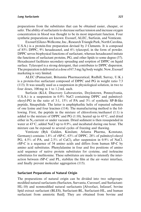preparations from the substitutes that can be obtained easier, cheaper, or safer. The ability of surfactants to decrease surface tension and increase oxygen concentration in blood was thought to be its most important function. Four synthetic preparations are known: Exosurf, ALEC, Surfaxin, and Venticute.

Exosurf (Glaxo-Wellcome, Inc., Research Triangle Park, North Carolina, U.S.A.) is a protein-free preparation devised by J Clements. It is composed of 85% DPPC, 9% hexadecanol, and 6% tylaxopol, in the form of powder. DPPC serves biophysical functions of surfactant, whereas hexadecanol imitate the functions of surfactant proteins, PG, and other lipids to some degree (37). Hexadecanol facilitates secondary spreading and sorption of DPPC on liquid surface. Tylaxopol is a strong detergent, that contributes to DPPC dispersion. The preparation is delivered at a dose of 67.5 mg/kg body weight. Now, Exosurf marketing is very limited.

ALEC (Pumactant, Britannia Pharmaceutical, Redhill, Surray, U.K.) is a protein-free surfactant composed of DPPC and PG in weight ratio 7:3 (113). It was usually used as a suspension in physiological solution, in two to four doses, 100 mg in 1 to 1.2 mL each.

Surfaxin (KL4, Discovery Laboratories, Doylestown, Pennsylvania, U.S.A.) is a suspension in 0.9% NaCl containing DPPC and palmitoyloleoyl-PG in the ratio of 3:1, 15% of PA and 3% of synthetic SP-B-like peptide, Sinapultide. The latter is amphiphathic helix of repeated subunits of one lysine and four leucines (114). The manufacturing method is the following. First, the peptide in the mixture of chloroform/methanol (1:1) is added to the mixture of DPPC and PG  $(1:10)$ , heated up to 43 $\degree$ C, and dried either in  $N<sub>2</sub>$  current or under vacuum. Dried sediment is then resuspended in water at  $43^{\circ}$ C, added NaCl up to 0.9%, and incubated during one hour. The mixture can be exposed to several cycles of freezing and thawing.

Venticute (Byk Gulden, Kinslum; Atlanta Pharma, Konstanz, Germany) contains 1.8% of rSP-C, 63% of DPPC, 28% of palmitoyl-oleoyl PG, 4.5% of PA, and 2.5% of CaCl<sub>2</sub> after suspension in  $0.9\%$  of NaCl. rSP-C is a sequence of 34 amino acids and differs from human SP-C by amino acid substitutes. Phenylalanine in four and five positions of amino acid sequence of native protein substitutes for cysteine, and isoleucine substitutes for methionine. These substitutes are made to intensify the interaction between rSP-C and PL, stabilize the film at the air–water interface, and finally prevent molecular aggregation (115).

#### Surfactant Preparations of Natural Origin

The preparations of natural origin can be divided into two subgroups: modified natural surfactants (Surfacten, Survanta, Curosurf, and Surfactant-HL-10) and nonmodified natural surfactants [Alveofact, Infasurf, bovine lipid extract surfactant (BLES), Surfactant-BL, Surfactant-HL, and human surfactant from amniotic fluid]. They are obtained from bovine and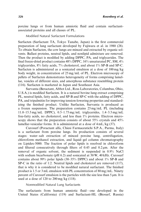porcine lungs or from human amniotic fluid and contain surfactantassociated proteins and all classes of PL.

Modified Natural Surfactant Formulations

Surfacten (Surfactant TA, Tokyo Tanabe, Japan) is the first commercial preparation of lung surfactant developed by Fujiwara et al. in 1980 (28). To obtain Surfacten, the cow lungs are minced and extracted by organic solvents. Ballast proteins, neutral lipids, and nonlipid admixture are removed. Then the product is modified by adding DPPC, PA, and triglycerides. The final freeze-dried product contains 48% DPPC, 16% unsaturated PC, SM, 4% triglycerides, 8% fatty acids, 7% cholesterol, and about 1% SP-B and SP-C. Surfacten is administered as a sonicated emulsion at a dose of 100 mg/kg body weight, in concentration of 25 mg/mL of PL. Electron microscopy of pellets of Surfacten demonstrates heterogeneity of forms comprising lamellae, vesicles of different sizes, and amorphous substance resembling protein (116). Surfacten is marketed in Japan and Southeast Asia.

Survanta (Beractant, Abbot Ltd., Ross Laboratories, Columbus, Ohio, U.S.A.) is modified Surfacten. It is a natural bovine lung extract comprising PL, neutral lipids, fatty acids, and SP-B and SP-C with the adding of DPPC, PA, and tripalmitin for improving tension-lowering properties and standardizing the finished product. Unlike Surfacten, Survanta is produced as a frozen suspension. The preparation contains  $25 \,\text{mg/mL}$  PL (including 11.0–15.5 mg/mL DPPC), 0.5–1.75 mg/mL triglycerides, 1.4–3.5 mg/mL free-fatty acids, no cholesterol, and less than 1% proteins. Electron microscopy shows that the preparation consists of about 55% crystals and 45% lamellar-vesicular forms. It is administered at a dose of  $4 \text{ mL/kg}$  (37).

Curosurf (Poractant alfa, Chiesi Farmaceutichi S.P.A., Parma, Italy) is a surfactant from porcine lungs. Its production consists of several stages: water–salt extraction of minced porcine lung, centrifugation, chloroform–methanol extraction, and liquid–gel column chromatography on Lipidex-5000. The fraction of polar lipids is resolved in chloroform and filtered consecutively through filters of  $0.45$  and  $0.2 \mu m$ . After the removal of organic solvent, the sediment is suspended in 0.9% NaCl with sodium bicarbonate (pH 6.2) and sonicated at 50 W, 40 kHz. Curosurf contains about 99% polar lipids (30–35% DPPC) and about 1% SP-B and SP-C in the ratio of 1:2. Neutral lipids and cholesterol are removed (117), that is why it is considered to be modified natural surfactant. The finished product is 1.5 or 3 mL emulsion with PL concentration of 80 mg/mL. Ninety percent of Curosurf emulsion is the particles with the size less than  $5 \mu m$ . It is used at a dose of 120 to  $200 \,\text{mg/kg}$  (118).

Nonmodified Natural Lung Surfactants

The surfactants from human amniotic fluid—one developed in the United States (California) (119) and Surfactant-HL (Biosurf, Russia)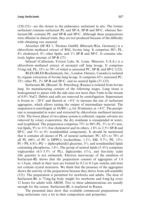(120,121)—are the closest to the pulmonary surfactant in situ. The former surfactant contains surfactant PL and SP-A, SP-B and SP-C, whereas Surfactant-HL contains PL and SP-B and SP-C. Although these preparations were efficient in clinical trials, they are not produced because of the difficulty with obtaining raw material.

Alveofact (SF-RI 1, Thomae GmbH, Biberach/Riss, Germany) is a chloroform–methanol extract of BAL bovine lung. It comprises 88% PL, 4% cholesterol, 8% other lipids, and 1% SP-B and SP-C. It contains relatively higher amount of SP-B (37).

Infasurf (Calfactant, Forrest Labs, St. Louis, Missouri, U.S.A.) is a chloroform–methanol extract of neonatal calf lung lavage. It comprises 35 mg/mL PL, 55% to 70% of which is saturated PC, SP-B, and SP-C (122).

BLES (BLES Biochemicals, Inc., London; Ontario, Canada) is isolated by organic extraction of bovine lung lavage. It comprises 63% saturated PC, 32% other PL, 2% SP-B and SP-C, and no neutral lipids (37,123).

Surfactant-BL (Biosurf, St. Petersburg, Russia) is isolated from bovine lung. Its manufacturing consists of the following stages. Lung tissue is homogenized to pieces with the side sizes not more than 5 mm in the stream of 0.9% NaCl. Debris and cells are removed by centrifugation. Supernatant is frozen at  $-20^{\circ}$ C and thawed at  $+4^{\circ}$ C to increase the size of surfactant aggregates, which allows raising the output of intermediate material. The suspension is centrifuged, at  $10,000 \times g$ , for 30 minutes, at  $+4^{\circ}C$ . The precipitate is resuspended in water and extracted by chloroform–methanol mixture (124). The lower phase of two-phase system is collected, organic solvents are removed by rotary evaporation, the dry residuum is resuspended in water, and lyophilized. The preparation comprises  $75\%$  to  $80\%$  PL,  $5\%$  to  $6\%$  neutral lipids, 9% to 11% free cholesterol and its ethers, 1.8% to 2.5% SP-B and SP-C, and 3% to 4% nonidentified components. It should be mentioned that it contains all classes of PL of natural surfactant: PC, 62% to 70% of all PL (66% of PC is DPPC); lysolecithine, 1.1%; SM, 9.7%; PE, 13%;  $PI + PS$ , 6.8%;  $PG + diphosphatidyl glycerine$ , 5%; and nonidentified lipids containing phosphorus,  $1.6\%$ . The group of neutral lipids  $(5-6\%)$  comprises triglycerides  $(4.5-5.5\% \text{ of PL})$ , diglycerides  $(1\%)$ , and free-fatty acids (the quantity is not estimated). Electron microscopy of the emulsion of Surfactant-BL shows that the preparation consists of aggregates of 1.6 to 1.8  $\mu$ m, which in their turn are formed by 0.2 to 0.5  $\mu$ m vesicles and does not contain crystal structures. We think that the presence of the aggregates shows the nativity of the preparation because they derive from self-assembly (121). The preparation is permitted for newborns and adults. The dose of Surfactant-BL is 75 mg/kg body weight for newborns and 6 mg/kg every 12 hours for adults with ARDS. Two to three administrations are usually enough for the course. Surfactant-BL is marketed in Russia.

The presented data show that available commercial preparations of lung surfactants vary a lot in their composition and properties.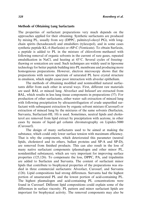#### Methods of Obtaining Lung Surfactants

The properties of surfactant preparations very much depends on the approaches applied for their obtaining. Synthetic surfactants are produced by mixing PL, usually from soy (DPPC, palmitoyl-oleoyl PG), with longchain spirits (hexadecanol) and emulsifiers (tylaxopol), and in some cases synthetic peptide KL-4 (Surfaxin) or rSP-C (Venticute). To obtain Surfaxin, a peptide is added to PL in the mixture of chloroform–methanol with following removal of organic solvents in the current of rare gases, repeated emulsification in NaCl, and heating at  $43^{\circ}$ C. Several cycles of freezing– thawing or sonication are used. Such techniques are widely used in liposome technology for better peptide building into PL membrane and producing more homogenous preparations. However, electron microscopy shows that the preparations with narrow spectrum of saturated PL have crystal structure in emulsion, which might cause poor interaction with alveolar epithelium.

The methods of obtaining modified and nonmodified natural surfactants differ from each other in several ways. First, different raw materials are used: BAL or minced lung. Alveofact and Infasurf are extracted from BAL, which results in less lung tissue components in preparations (37). For production of other surfactants, either water–salt extraction of minced lung with following precipitation by ultracentrifugation of crude unpurified surfactant with subsequent extraction by organic solvent mixture (Curosurf) or extraction of minced lung by the mixtures of the same solvents (Surfacten, Survanta, Surfactant-HL 10) is used. Sometimes, neutral lipids and cholesterol are removed from lipid extract by precipitation with acetone, in other cases by means of liquid–gel column chromatography on Lipidex-5000 (Curosurf).

The design of many surfactants used to be aimed at making the substance, which could only lower surface tension with maximum efficiency. That is why the components, which deteriorated this parameter (neutral lipids, cholesterol and its ethers, ballast proteins and SP-A and SP-D), are removed from finished products. This can also result in the loss of many native surfactant components (plasmalogen and other minor PL, nonidentified substances), which are very important for improving surface properties (125,126). To compensate the loss, DPPC, PA, and tripalmitin are added to Surfacten and Survanta. The content of surfactant minor lipids that contribute to biophysical properties of the preparations was studied in three commercial surfactants: Alveofact, Curosurf, and Survanta (126). Lipid compositions had strong differences. Survanta had the highest portion of unsaturated PL and the lowest portion of acid-containing PL. The highest plasmalogen and acid-containing PL concentrations were found in Curosurf. Different lipid compositions could explain some of the differences in surface viscosity. PL pattern and minor surfactant lipids are important for biophysical activity. The removed components may also be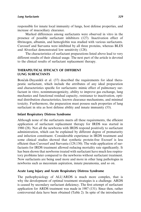responsible for innate local immunity of lungs, host defense properties, and increase of mucociliary clearance.

Marked differences among surfactants were observed in vitro in the presence of possible surfactant inhibitors (127). Inactivation effect of fibrinogen, albumin, and hemoglobin was studied with various surfactants. Curosurf and Survanta were inhibited by all three proteins, whereas BLES and Alveofact demonstrated low sensitivity (128).

The characteristics of surfactant preparations listed above lead to very different results of their clinical usage. The next part of the article is devoted to the clinical results of surfactant replacement therapy.

#### THERAPEUTICAL EFFICACY OF DIFFERENT LUNG SURFACTANTS

Bonĉuk-Dayanikli et al. (37) described the requirements for ideal therapeutic surfactant, which include the attributes of any ideal preparation and characteristics specific for surfactants: mimic effect of pulmonary surfactant in vitro, nonimmunogenicity, ability to improve gas exchange, lung mechanics and functional residual capacity, resistance to inactivation, optimal distribution characteristics, known clearance mechanisms, and minimal toxicity. Furthermore, the preparation must possess such properties of lung surfactant in situ as host defense ability and innate immunity (53).

#### Infant Respiratory Distress Syndrome

Although none of the surfactants meets all these requirements, the efficient application of surfactant replacement therapy for IRDS was started in 1980 (28). Not all the newborns with IRDS respond positively to surfactant administration, which can be explained by different degree of prematurity and infection constituent. Considerable experience in IRDS treatment and some clinical studies showed that synthetic protein-free Exosurf is less efficient than Curosurf and Survanta (129,130). The wide application of surfactants for IRDS treatment allowed reducing mortality rate significantly. It has been shown that newborns treated with surfactant have much less respiratory problems later compared to the newborns without surfactant treatment. Now surfactants are being used more and more in other lung pathologies in newborns such as meconium aspiration, innate pneumonia, and so on.

#### Acute Lung Injury and Acute Respiratory Distress Syndrome

The pathophysiology of ALI/ARDS is much more complex, that is why the development of optimal treatment strategies is a challenge. ARDS is caused by secondary surfactant deficiency. The first attempt of surfactant application for ARDS treatment was made in 1987 (131). Since then, rather controversial data have been obtained (Table 2). In spite of the introduction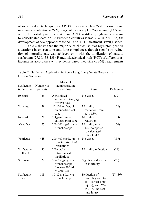of some modern techniques for ARDS treatment such as ''safe'' conventional mechanical ventilation (CMV), usage of the concept of ''open lung'' (132), and so on, the mortality rate due to ALI and ARDS is still very high, and according to consolidated data on 10 European countries it was 53% in 2003. So, the development of new approaches for ALI and ARDS treatment is well-justified.

Table 2 shows that the majority of clinical studies registered positive alterations in oxygenation and lung compliance, though significant reduction of mortality rate was achieved only with the application of natural surfactants (27,30,133–138). Randomized clinical trials (RCT) of different surfactants in accordance with evidence-based medicine (EBM) requirements

| Surfactant<br>trade name | Number of<br>patients | Mode of<br>administration<br>and dose                                          | Result                                                                                                        | References |
|--------------------------|-----------------------|--------------------------------------------------------------------------------|---------------------------------------------------------------------------------------------------------------|------------|
| Exosurf                  | 725                   | Aerosolized<br>surfactant 5 mg/kg<br>for five days                             | No effect                                                                                                     | (32)       |
| Survanta                 | 59                    | $50-100$ mg/kg, via<br>an endotracheal<br>tube                                 | Mortality<br>reduction from<br>$43 - 18.8\%$                                                                  | (108)      |
| Infasurf                 | 21                    | $2.8 \text{ g/m}^2$ , via an<br>endotracheal tube                              | Mortality<br>reduction                                                                                        | (133)      |
| Alveofact                | 27                    | $200 - 500$ mg/kg, via<br>bronchoscope                                         | Mortality rate<br>44% compared<br>to calculated<br>rate of $74%$                                              | (134)      |
| Venticute                | 448                   | $200-400$ mg/kg up to<br>four intratracheal<br>instillations                   | No effect                                                                                                     | (135)      |
| Surfactant-<br>$HL-10$   | 35                    | $200 \,\mathrm{mg/kg}$<br>intratracheal<br>instillations                       | Mortality reduction                                                                                           | (29)       |
| Surfaxin                 | 22                    | $50-60$ mg/kg, via<br>bronchoscope<br>(lavage) $400 \text{ mL}$<br>of emulsion | Significant decrease<br>in mortality                                                                          | (29)       |
| Surfactant-<br>BL        | 183                   | $10-12$ mg/kg, via<br>bronchoscope                                             | Reduction of<br>mortality rate to<br>15% (direct lung<br>injury), and 25%<br>to 30% (indirect<br>lung injury) | (27, 136)  |

Table 2 Surfactant Application in Acute Lung Injury/Acute Respiratory Distress Syndrome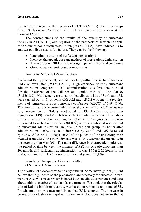resulted in the negative third phases of RCT (29,63,135). The only exception is Surfaxin and Venticute, whose clinical trials are in process at the moment (29,63).

The contradictions of the results of the efficiency of surfactant therapy in ALI/ARDS, and negation of the prospects of surfactant application due to some unsuccessful attempts (29,63,135), have induced us to analyze possible reasons for failure. They can be the following:

- Late administration of surfactant preparations
- Incorrect therapeutic dose and methods of preparation administration
- The injustice of EBM principle usage in patients in critical conditions
- Great variety in surfactant compositions

Timing for Surfactant Administration

Surfactant therapy is usually started very late, within first 48 to 72 hours of CMV or even later (29,134,135,138). High efficiency of early surfactant administration compared to late administration was first demonstrated for the treatment of the children and adults with ALI and ARDS (31,136,139). Multicenter case-uncontrolled clinical trials of Surfactant-BL were carried out in 58 patients with ALI and ARDS who met the requirements of American-Europe consensus conference (AECC) of 1994 (140). The patients had oxygenation index [arterial oxygen tension  $(PaO<sub>2</sub>)/inspira$ tory oxygen fraction (FiO<sub>2</sub>) ratiol equal to  $119.4 \pm 5.7$  mmHg, and lung injury score (LIS)  $3.04 \pm 0.25$  before surfactant administration. The analysis of treatment results allows dividing the patients into two groups: those who responded to surfactant positively (81.03%) and those who did not respond to surfactant administration (18.87%). In the first group, 24 hours after administration,  $PaO<sub>2</sub>/FiO<sub>2</sub>$  ratio increased by 78.4% and LIS decreased by 57.9%. After  $6.4 \pm 1.2$  days, 70.7% of the patients of the first group were weaned from CMV, the mortality rate was 14.9%, whereas the mortality in the second group was 90%. The main difference in therapeutic modes was the period of time between the moment of  $PaO<sub>2</sub>/FiO<sub>2</sub>$  ratio drop less than 200 mmHg and surfactant administration: it was  $18.7 \pm 2.72$  hours in the first group and  $31.9 \pm 5.6$  hours in the second group (31,136).

Searching Therapeutic Dose and Method of Surfactant Administration

The question of a dose seems to be very difficult. Some investigators (35,138) believe that high doses of the preparation are necessary for successful treatment of ARDS. This approach is based both on clinical experience and data about inhibiting effect of leaking plasma proteins. We think that the calculation of leaking inhibitors quantity was based on wrong assumptions (6,35). Protein quantity was measured in pooled BAL samples. The increase in permeability of alveolar–capillary barrier in ARDS does not mean that it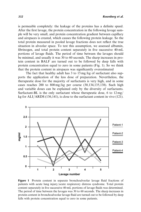is permeable completely: the leakage of the proteins has a definite speed. After the first lavage, the protein concentration in the following lavage sample will be very small, and protein concentration gradient between capillary and airspaces is created, which causes the following protein leakage. So the total protein measured in pooled lavage fractions does not reflect the true situation in alveolar space. To test this assumption, we assessed albumin, fibrinogen, and total protein content separately in five successive 40-mL portions of lavage fluids. The period of time between the lavages should be minimal, and usually it was 30 to 60 seconds. The sharp increases in protein content in BALF are turned out to be followed by deep falls with protein concentration equal to zero in some patients (Fig. 1). So we think that the protein content in airspaces was significantly overestimated

The fact that healthy adult has 3 to 15 mg/kg of surfactant also supports the application of the less dose of preparation. Nevertheless, the therapeutic dose for the majority of surfactants is very high, and in some cases reaches 200 to 800 mg/kg per course (30,134,135,138). Such high and variable doses can be explained only by the diversity of surfactants. Surfactant-BL is the only surfactant whose therapeutic dose, 6 to 12 mg/ kg for ALI/ARDS (136,141), is close to the surfactant content in vivo (121).



Figure 1 Protein content in separate bronchoalveolar lavage fluid fractions of patients with acute lung injury/acute respiratory distress syndrome. Total protein content separately in five successive 40-mL portions of lavage fluids was determined. The period of time between the lavages was 30 to 60 seconds. The sharp increases in protein content in bronchoalveolar lavage fluid are turned out to be followed by deep falls with protein concentration equal to zero in some patients.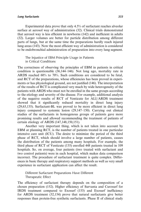### $\mathcal{L}$   $\mathcal{L}$   $\mathcal{L}$   $\mathcal{L}$   $\mathcal{L}$   $\mathcal{L}$   $\mathcal{L}$   $\mathcal{L}$   $\mathcal{L}$   $\mathcal{L}$   $\mathcal{L}$   $\mathcal{L}$   $\mathcal{L}$   $\mathcal{L}$   $\mathcal{L}$   $\mathcal{L}$   $\mathcal{L}$   $\mathcal{L}$   $\mathcal{L}$   $\mathcal{L}$   $\mathcal{L}$   $\mathcal{L}$   $\mathcal{L}$   $\mathcal{L}$   $\mathcal{$

Experimental data prove that only 4.5% of surfactant reaches alveolar surface at aerosol way of administration (32). Clinical trials demonstrated that aerosol way is less efficient in newborns (142) and inefficient in adults (32). Larger volumes are better for particle distribution among different parts of lungs, but at the same time the preparations hardly reach injured lung areas (143). Now the most efficient way of administration is considered to be endobronchial administration of preparation into every lung segment.

The Injustice of EBM Principle Usage in Patients in Critical Conditions

The correctness of observing the principles of EBM in patients in critical condition is questionable (36,144–146). Not long ago, mortality rate in ARDS reached 60% to 70%. Such conditions are considered to be fatal, and RCT of the preparations, whose efficiencies has been proved in experiments or has physiological ground, are not justified (146). The interpretation of the results of RCT is complicated very much by wide heterogeneity of the patients with ARDS who must not be enrolled in the same groups according to the etiology and severity of the disease. For example, additional analysis of the negative results of RCT of Venticute for ALI/ARDS treatment showed that it significantly reduced mortality in direct lung injury (29,63,135). Surfactant-BL was proved to be more efficient in direct lung injury compared to systemic lesion (29,147–150). Carrying out clinical studies of the surfactants in homogenous groups of patients gave more promising results and allowed recommending the treatment of patients of certain etiology of ARDS (147,148,150,151).

Another very important thing, which is not taken into account by EBM at planning RCT, is the number of patients treated in one particular intensive care unit (ICU). The desire to minimize the period of the third phase of RCT, which should involve a large number of patients, causes the distribution of the patients among many hospitals. For example, the third phase of RCT of Venticute (135) enrolled 448 patients treated in 109 hospitals. So, on average, four patients (two treated with surfactant and two control patients) were in each hospital, which makes data comparison incorrect. The procedure of surfactant treatment is quite complex. Differences in basic therapy and respiratory support methods as well as very small experience in surfactant application can affect the result.

Different Surfactant Preparations Have Different Therapeutic Effect

The efficiency of surfactant therapy depends on the composition of a chosen preparation (152). Higher efficiency of Survanta and Curosurf for IRDS treatment compared to Exosurf (153) and Exosurf inefficiency for ARDS treatment (32,154) prove that natural surfactants give better responses than protein-free synthetic surfactants. Phase II of clinical study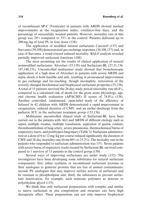of recombinant SP-C (Venticute) in patients with ARDS showed marked improvements in the oxygenation index, ventilator-free days, and the percentage of successfully weaned patients. However, mortality rate in this group was 29% compared to 33% in the control. Patients delivered up to 200 mg/kg of total PL in four doses (154).

The application of modified natural surfactants Curosurf (137) and Survanta (30,108) demonstrated gas exchange responses (30,108,137) and, in case of Survanta, a trend toward reduced mortality. BALF analysis revealed partially improved surfactant functions (108).

The most promising are the results of clinical application of natural nonmodified surfactants: Alveofact (35,138) and Surfactant-BL (27,31,136, 147,148,151). Uncontrolled multicenter study showed that bronchoscopic application of a high dose of Alveofact in patients with severe ARDS and septic shock is both feasible and safe, resulting in pronounced improvement in gas exchange and far-reaching, though incomplete, restoration of the severely changed biochemical and biophysical surfactant properties (35,138). A total of 15 patients survived the 28-day study period (mortality rate 44.4%, compared to a calculated risk of death for the given acute physiology, age, and chronic health evaluation (APACHE) II scores of 74.0%) (138). Another controlled, randomized, open-label study of the efficiency of Infasurf in 42 children with ARDS demonstrated a rapid improvement in oxygenation, reduced duration of CMV, and an earlier discharge from the pediatric ICU in the surfactant treatment group (133,136).

Multicenter uncontrolled clinical trials of Surfactant-BL have been carried out in the patients with ALI and ARDS of different etiology such as sepsis, multiple trauma, multiple transfusion, aspiration of gastric content, thromboembolism of lung artery, severe pneumonia, thermochemical burns of respiratory tracts, and postbypass lung injury (Table 3). Surfactant administration at a dose of 6 to 12 mg/kg per course reduced significantly the duration of CMV and 28-day mortality rate (from 60% to 23.2%). The mortality rate in the patients who responded to surfactant administration was 15%. Seven patients with severe burns of respiratory tracks treated by Surfactant-BL survived compared to 1 survivor of 15 patients in the control group (150).

Several ways of improving surfactants are under study (152). The investigators have been developing some substitutes for natural surfactant components: first, either synthetic or recombinant surfactant proteins or their analogues to generate proteins that are free of animal contaminants; second, PL analogues that may improve surface activity of surfactant and be resistant to phospholipase and, third, the substances to prevent surfactant inactivation, for example, such nonionic polymers as dextran or polyethylene glycol (155).

We think that only surfactant preparations with complex and similar to native surfactant in situ composition and structure can have high therapeutic effect. These preparations can not only improve biophysical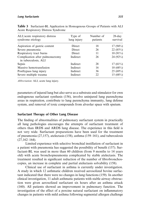| ALI/acute respiratory distress<br>syndrome etiology     | Type of<br>lung injury | Number of<br>patients | $28$ -day<br>survival |
|---------------------------------------------------------|------------------------|-----------------------|-----------------------|
| Aspiration of gastric content                           | Direct                 | 18                    | $17(94\%)$            |
| Severe pneumonia                                        | Direct                 | 26                    | 22(85%)               |
| Respiratory tract burns                                 | Direct                 | 11                    | $10(91\%)$            |
| Complication after pulmonectomy<br>in tuberculosis, ALI | Indirect               | 26                    | 24(92%)               |
| Sepsis                                                  | Indirect               | 28                    | $17(61\%)$            |
| Massive hemotransfusion                                 | Indirect               | 16                    | 10(68%)               |
| Postbypass lung injury                                  | Indirect               | 36                    | 25(69%)               |
| Severe multiple trauma                                  | Indirect               | 22                    | 15(68%)               |

Table 3 Surfactant-BL Application in Homogenous Groups of Patients with ALI Acute Respiratory Distress Syndrome

Abbreviation: ALI, acute lung injury.

parameters of injured lung but also serve as a substrate and stimulator for own endogenous surfactant synthesis (156), involve uninjured lung parenchyma areas in respiration, contribute to lung parenchyma immunity, lung defense system, and removal of toxic compounds from alveolar space with sputum.

#### Surfactant Therapy of Other Lung Disease

The finding of abnormalities of pulmonary surfactant system in practically all lung pathologies encourages the attempts of surfactant treatment of others than IRDS and ARDS lung disease. The experience in this field is not very wide. Surfactant preparations have been used for the treatment of pneumonia (27,157), atelectasis (158), asthma (159–161), and tuberculosis  $(27,162-164)$ .

Limited experience with selective bronchial instillation of surfactant in a patient with pneumonia has suggested the possibility of benefit (157). Surfactant-BL was used in more than 60 children (from 9 months to 14 years old) with acute bronchopneumonia complicated by stable atelectasis. The treatment resulted in significant reduction of the number of fibrobronchoscopies, an increase in complete and partial atelectasis solvability (158).

Clinical use of surfactant in asthma is currently under investigation. A study in which 12 asthmatic children received aerosolized bovine surfactant indicated that there were no changes in lung functions (159). In another clinical investigation, 11 adult asthmatic patients with stable airway obstruction were given aerosolized surfactant six hours after an asthma attack (160). All patients showed an improvement in pulmonary function. The investigation of the effect of a porcine natural surfactant on inflammatory changes in patients with mild asthma following segmental allergen challenge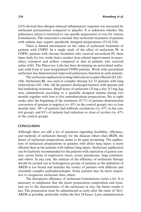(165) showed that allergen-induced inflammatory response was increased by surfactant pretreatment compared to placebo. It is unknown whether this pulmonary action is restricted to one specific preparation or true for various formulations. The researchers conclude that surfactant treatment of patients with asthma may require specifically designed preparations  $(23,54,110)$ .

There is limited information on the value of surfactant treatment of patients with COPD. In a single study of the effect of surfactant PL in COPD, patients with chronic bronchitis who received aerosolized PL three times daily for two weeks had a modest dose-related improvement in mucociliary transport and airflow compared to that in patients who received saline (166). The Discovery Labs has been developing an aerosolized surfactant solid form to treat hospitalized COPD patients. Work with aerosolized surfactant has demonstrated improved pulmonary function in such patients.

The surfactant application in lung tuberculosis is quite efficient (63,162– 164). Surfactant-BL was used in complex therapy for 52 patients with lung tuberculosis (162–164). All the patients discharged bacteria with sputum and had multidrug resistance. Small doses of surfactant  $(25 \text{ mg a day}, 0.3 \text{ mg/kg})$ were administered according to a specially designed scheme during two months together with four to five antituberculosis preparations. Six to eight weeks after the beginning of the treatment, 85.7% of patients demonstrated conversion of sputum to negative (vs. 65% in the control group); two to four months later, 94% of patients had infiltrate resolutions (vs. 67% in the control group), and 83% of patients had reduction or close of cavities (vs. 47% in the control group).

#### **CONCLUSION**

Although there are still a lot of questions regarding feasibility, efficiency, and methods of surfactant therapy for the diseases others than IRDS, the future of surfactant preparations seems to be quite promising. The application of surfactant preparations in patients with direct lung injury is more efficient than in the patients with indirect lung injury. Surfactant application can be fearlessly recommended for the patients with aspiration of gastric content, severe burns of respiratory tracts, severe pneumonia, lung contusion, and others. In any case, the analysis of the efficiency of surfactant therapy should be carried out in homogenous groups of patients as the definition of ARDS is too broad and includes the variety of patients with different and extremely complex pathophysiologies. Some patients may be more responsive to exogenous surfactant than others.

The therapeutic efficiency of surfactant formulations varies a lot. It is necessary to emphasize that the closer preparation composition and structure are to the characteristics of the surfactant in situ, the better results it has. The preparation must be administered as early after the onset of ALI/ ARDS as possible, preferably within the first 24 hours. Later administration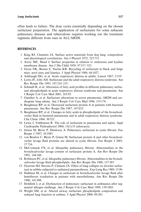often leads to failure. The dose varies essentially depending on the chosen surfactant preparation. The application of surfactants for some subacute pulmonary diseases and tuberculosis requires working out the treatment regimens different from ones in ALI/ARDS.

#### **REFERENCES**

- 1. King RJ, Clements JA. Surface active materials from dog lung: composition and physiological correlations. Am J Physiol 1972; 223:715.
- 2. Avery ME, Mead J. Surface properties in relation to atelectasis and hyaline membrane disease. Am J Dis Child 1959; 97:517–523.
- 3. Gross NK, Barnes E, Narine KR. Recycling of surfactant in black and beige mice: pool sizes and kinetics. J Appl Physiol 1988; 64:1027.
- 4. Ashbaugh DG, et al. Acute respiratory distress in adults. Lancet 1967; 2:319.
- 5. Lewis JF, Jobe AH. Surfactant and the adult respiratory distress syndrome. Am Rev Respir Dis 1993; 147:218–233.
- 6. Schmidt R, et al. Alteration of fatty acid profiles in different pulmonary surfactant phospholipids in acute respiratory distress syndrome and pneumonia. Am J Respir Crit Care Med 2001; 163:95.
- 7. Gunther A, et al. Surfactant alterations in severe pneumonia, ARDS and cardiogenic lung edema. Am J Respir Crit Care Med 1996; 153:176.
- 8. Baughman RP, et al. Decreased surfactant protein A in patients with bacterial pneumonia. Am Rev Respir Dis 1987; 147:653.
- 9. Baughman RP, et al. Changes in fatty acids in phospholipids of the bronchoalveolar fluid in bacterial pneumonia and in adult respiratory distress syndrome. Clin Chem 1984; 30:521.
- 10. Lewis J, Veldhuizen R. The role of surfactant in pneumonia and sepsis. Appl Cardiopulm Pathophysiol 2004; 13(1):55 (abstracts).
- 11. Griese M, Birrer P, Demirsoy A. Pulmonary surfactant in cystic fibrosis. Eur Respir J 1997; 10:1983.
- 12. von Bredow C, Birrer P, Griese M, Surfactant protein A and other bronchoalveolar lavage fluid proteins are altered in cystic fibrosis. Eur Respir J 2001; 17:716.
- 13. McCormack FX, et al. Idiopathic pulmonary fibrosis. Abnormalities in the bronchoalveolar lavage content of surfactant protein A. Am Rev Respir Dis 1991; 144:160.
- 14. Robinson PC, et al. Idiopathic pulmonary fibrosis. Abnormalities in the bronchoalveolar lavage fluid phospholipids. Am Rev Respir Dis 1988; 137:585.
- 15. Oyarzun MJ, Stevens P, Clemens JA. Effect of lung collapse on alveolar surfactant in rabbits subjected to unilateral pneumothorax. Exp Lung Res 1989; 15:90.
- 16. Hallman M, et al. Changes in surfactant in bronchoalveolar lavage fluid after hemithorax irradiation in patients with mesothelioma. Am Rev Respir Dis 1990; 141:998.
- 17. Hohlfeld J, et al. Dysfunction of pulmonary surfactant in asthmatics after segmental allergen challenge. Am J Respir Crit Care Med 1999; 159:1803.
- 18. Wright SM, et al. Altered airway surfactant phospholipids composition and reduced lung function in asthma. J Appl Physiol 2000; 89:283.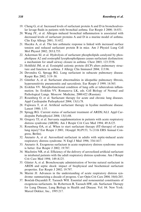- 19. Cheng G, et al. Increased levels of surfactant protein A and D in bronchoalveolar lavage fluids in patients with bronchial asthma. Eur Respir J 2000; 16:831.
- 20. Wang JY, et al. Allergen–induced bronchial inflammation is associated with decreased levels of surfactant proteins A and D in a murine model of asthma. Clin Exp Allergy 2001; 31:652.
- 21. Haczku A, et al. The late asthmatic response is linked with increased surface tension and reduced surfactant protein B in mice. Am J Physiol Lung Cell Mol Physiol 2002; 283:L755.
- 22. Ackerman SJ, et al. Hydrolysis of surfactant phospholipids catalyzed by phospholipase A2 and eosinophil lysophospholipases causes surfactant dysfunction: a mechanism for small airway closure in asthma. Chest 2003; 123:355S.
- 23. Hohlfeld JM, et al. Eosiniphil cationic protein (ECP) alters pulmonary structure and function in asthma. J Allergy Clin Immunol 2004; 113:96.
- 24. Devendra G, Spragg RG. Lung surfactant in subacute pulmonary disease. Respir Res 2002; 3:19–30.
- 25. Günther A, et al. Surfactant abnormalities in idiopathic pulmonary fibrosis, hypersensitivity pneumonitis and sarcoidosis. Eur Respir J 1999; 14:565.
- 26. Erokhin VV. Morphofunctional condition of lung cells at tuberculosis inflammation. In: Erokhin VV, Romanova LK, eds. Cell Biology of Normal and Pathological Lungs. Moscow: Medicine, 2000:422 (Russian).
- 27. Rosenberg O, et al. Surfactant therapy for acute and chronic lung diseases. Appl Cardiopulm Pathophysiol 2004; 13(1):78.
- 28. Fujiwara T, et al. Artificial surfactant therapy in hyaline membrane disease. Lancet 1980; 1:55.
- 29. Spragg RG. Current status of surfactant treatment of ARDS/ALI. Appl Cardiopulm Pathophysiol 2004; 13(1):88.
- 30. Gregory TJ, et al. Survanta supplementation in patients with acute respiratory distress syndrome (ARDS). Am J Respir Crit Care Med 1994; 49:A125.
- 31. Rosenberg OA, et al. When to start surfactant therapy (ST-therapy) of acute lung injury? Eur Respir J 2001; 18(suppl 38):P153, 7s (11th ERS Annual Congress, Berlin).
- 32. Anzueto A, et al. Aerosolized surfactant in adults with septic-induced acute respiratory distress syndrome. N Engl J Med 1996; 334:1417.
- 33. Anzueto A. Exogenous surfactant in acute respiratory distress syndrome: more is better. Eur Respir J 2002; 19:787.
- 34. MacIntire NR, et al. Efficiency of the delivery of aerosolized artificial surfactant in intubated patients with the adult respiratory distress syndrome. Am J Respir Crit Care Med 1994; 149:A125.
- 35. Günter A, et al. Bronchoscopic administration of bovine natural surfactant in ARDS and septic shock: impact of biophysical and biochemical surfactant properties. Eur Respir J 2002; 19:797.
- 36. Marini JJ. Advances in the understanding of acute respiratory distress syndrome: summarizing a decade of progress. Curr Opin Crit Care 2004; 10(4):265.
- 37. Bonĉuk-Dayanikli P, Taeusch WH. Essential and nonessential constituents of exogenous surfactants. In: Robertson B, Taeusch HW, eds. Surfactant Therapy for Lung Disease, Lung Biology in Health and Disease. Vol. 84. New York: Marcel Dekker, Inc., 1995:217.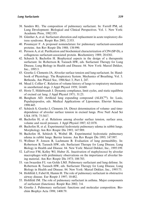- 38. Sanders RL. The composition of pulmonary surfactant. In: Farrell PM, ed. Lung Development: Biological and Clinical Perspectives. Vol. 1. New York: Academic Press, 1982:193.
- 39. Günther A, et al. Surfactant alteration and replacement in acute respiratory distress syndrome. Respir Res 2001; 2:353.
- 40. Possmayer F. A proposed nomenclature for pulmonary surfactant-associated proteins. Am Rev Respir Dis 1988; 138:990.
- 41. Persson A, et al. Purification and biochemical characterization of CP4 (SP-D), a collagenous surfactant-associated protein. Biochemistry 1989; 28:6361.
- 42. Schurch S, Bachofen H. Biophysical aspects in the design of a therapeutic surfactant. In: Robertson B, Taeusch HW, eds. Surfactant Therapy for Lung Disease, Lung Biology in Health and Disease. 84. New York: Marcel Dekker, Inc., 1995:3.
- 43. Goerke J, Clements JA, Alveolar surface tension and lung surfactant. In: Handbook of Physiology. The Respiratory System. Mechanics of Breathing. Vol. 3. Bethesda, Am Phisiol Soc, 1986:Sect 3, Part I, 247.
- 44. Mead J, Collier C. Relation of volume history of lungs to respiratory mechanics in anesthetized dogs. J Appl Physiol 1959; 14:669.
- 45. Horie T, Hildebrandt J. Dynamic compliance, limit cycles, and static equilibria of excised cat lung. J Appl Physiol 1971; 31:23.
- 46. Bangham AD. Artificial lung expanding compound  $(ALEC<sup>tm</sup>)$ . In: Lasic, Papahajopoulos, eds. Medical Applications of Liposomes. Elsevier Science, 1998:445.
- 47. Schürch S, Goerke J, Clements JA. Direct determination of volume- and timedependence of alveolar surface tension in excised lungs. Proc Natl Acad Sci USA 1978; 75:3417.
- 48. Bachofen H, et al. Relations among alveolar surface tension, surface area, volume and recoil pressure. J Appl Physiol 1987; 62:1878.
- 49. Bachofen H, et al. Experimental hydrostatic pulmonary edema in rabbit lungs. Morphology Am Rev Respir Dis 1993; 147:989.
- 50. Bachofen H, Schürch S, Weibel IR. Experimental hydrostatic pulmonary edema in rabbit lungs. Barrier lesions. Am Rev Respir Dis 1993; 147:997.
- 51. Wollmer P, Jonson B, Lachmann B. Evaluation of lung permeability. In: Robertson B, Taeusch HW, eds. Surfactant Therapy for Lung Disease, Lung Biology in Health and Disease. 84. New York: Marcel Dekker, Inc., 1995:199.
- 52. LaForce FM, Kelley WJ, Huber JL. Inactivation of staphylococci by alveolar macrophages with preliminary observations on the importance of alveolar lining material. Am Rev Respir Dis 1973; 108:783.
- 53. van Iwaarden FJ, van Golde LMJ. Pulmonary surfactant and lung defense. In: Robertson B, Taeusch HW, eds. Surfactant Therapy for Lung Disease, Lung Biology in Health and Disease. 84. New York: Marcel Dekker, Inc., 1995:75.
- 54. Hohlfeld J, Fabel H, Hamm H. The role of pulmonary surfactant in obstructive airway disease. Eur Respir J 1997; 10:482.
- 55. Hohlfeld JM. The role of pulmonary surfactant in asthma. Major components of surfactant (functions). Respir Res 2002; 3:4.
- 56. Goerke J. Pulmonary surfactant: functions and molecular composition. Biochim Biophys Acta 1998; 1408:79.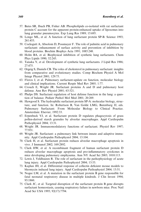- 57. Bates SR, Ibach PB, Fisher AB. Phospholipids co-isolated with rat surfactant protein C account for the apparent protein-enhanced uptake of liposomes into lung granular pneumocytes. Exp Lung Res 1989; 15:695.
- 58. Longo ML, et al. A function of lung surfactant protein SP-B. Science 1993; 261:453.
- 59. Cocksgutt A, Absolom D, Possmayer F. The role of palmitic acid in pulmonary surfactant: enhancement of surface activity and prevention of inhibition by blood proteins. Biochim Biophys Acta 1991; 1085:248.
- 60. Holm BA, et al. Biophysical inhibition of synthetic lung surfactants. Chem Phys Lipids 1990; 52:243.
- 61. Tanaka Y, et al. Development of synthetic lung surfactants. J Lipid Res 1986; 27:475.
- 62. Orgeig S, Daniels CB. The roles of cholesterol in pulmonary surfactant: insights from comparative and evolutionary studies. Comp Biochem Physiol A Mol Integr Physiol 2001; 129:75.
- 63. Floros J, et al. Pulmonary surfactant-update on function, molecular biology and clinical implications. Current Respir Med Rev 2005; 1:77.
- 64. Crouch E, Wright JR. Surfactant proteins A and D and pulmonary host defense. Ann Rev Physiol 2001; 63:521.
- 65. Phelps DS. Surfactant regulation of host defense function in the lung: a question of balance. Pediatr Pathol Mol Med 2001; 20:269.
- 66. Hawgood S. The hydrophilic surfactant protein SP-A: molecular biology, structure, and function. In: Robertson B, Van Golde LMG, Batenburg JJ, eds. Pulmonary Surfactant: From Molecular Biology to Clinical Practice. Amsterdam: Elsevier, 1992:33.
- 67. Erpenbeck VJ, et al. Surfactant protein D regulates phagocytosis of grass pollen-derived starch granules by alveolar macrophages. Appl Cardiopulm Pathophysiol 2004; 13:31.
- 68. Wright JR. Immunomodulatory functions of surfactant. Physiol Rev 1997; 77:931.
- 69. Wright JR. Surfactant: a pulmonary link between innate and adaptive immunity. Appl Cardiopulm Pathophysiol 2004; 13:104.
- 70. Clark H, et al. Surfactant protein reduces alveolar macrophage apoptosis in vivo. J Immunol 2002; 169:2892.
- 71. Clark HW, et al. A recombinant fragment of human surfactant protein D reduces alveolar macrophage apoptosis and pro-inflammatory cytokones in mice developing pulmonary emphysema. Ann NY Acad Sci 2003; 1010:113.
- 72. Lewis J, Veldhuizen R. The role of surfactant in the pathophysiology of acute lung injury. Appl Cardiopulm Pathophysiol 2004; 13:53.
- 73. Kaplan JH, et al. Differential response of collectin deficient mouse models to bleomycin induced lung injury. Appl Cardiopulm Pathophysiol 2004; 13:51.
- 74. Nogee LM, et al. A mutation in the surfactant protein B gene responsible for fatal neonatal respiratory disease in multiple kindreds. J Clin Invest 1994; 93:1860.
- 75. Clark JC, et al. Targeted disruption of the surfactant protein B gene disrupts surfactant homeostasis, causing respiratory failure in newborn mice. Proc Natl Acad Sci USA 1995; 92(17):7794.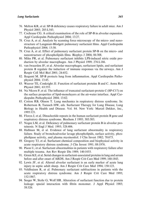- 76. Melton KR, et al. SP-B deficiency causes respiratory failure in adult mice. Am J Physiol 2003; 285:L543.
- 77. Cochrane CG. A critical examination of the role of SP-B in alveolar expansion. Appl Cardiopulm Pathophysiol 2004; 13:27.
- 78. Cruz A, et al. Analysis by scanning force microscopy of the micro- and nanostructure of Langmuir-Blodgett pulmonary surfactant films. Appl Cardiopulm Pathophysiol 2004; 13:30.
- 79. Cruz A, et al. Effect of pulmonary surfactant protein SP-B on the micro- and nanostructure of phospholipids films. Biophys J 2004; 86:308.
- 80. Miles PR, et al. Pulmonary surfactant inhibits LPS-induced nitric oxide production by alveolar macrophages. Am J Physiol 1999; 276:L186.
- 81. van Iwaarden JF, et al. Alveolar macrophages, surfactant lipids, and surfactant protein B regulate the induction of immune responses via the airways. Am J Respir Cell Mol Biol 2001; 24:452.
- 82. Ikegami M. SP-B protects lung from inflammation. Appl Cardiopulm Pathophysiol 2004; 13:45.
- 83. Weaver TE, Conkright JJ. Function of surfactant proteins B and C. Annu Rev Physiol 2001; 63:555.
- 84. Na Nkorn P, et al. The influence of truncated surfactant-protein C (SP-C17) on the surface properties of lipid-monolayers at the air-water interface. Appl Cardiopulm Pathophysiol 2004; 13:62.
- 85. Cotton RB, Olsson T. Lung mechanics in respiratory distress syndrome. In: Robertson B, Taeusch HW, eds. Surfactant Therapy for Lung Disease, Lung Biology in Health and Disease. Vol. 84. New York: Marcel Dekker, Inc., 1995:121.
- 86. Floros J, et al. Dinucleotide repeats in the human surfactant protein B gene and respiratory distress syndrome. Biochem J 1995; 305:583.
- 87. Nogee LM, et al. Deficiency of pulmonary surfactant protein B in alveolar proteinosis. N Engl J Med. 1993; 328:406.
- 88. Hallman M, et al. Evidence of lung surfactant abnormality in respiratory failure. Study of bronchoalveolar lavage phospholipids, surface activity, phospholipase activity, and plasma myoinositol. J Clin Invest 1982; 70:673.
- 89. Gregory TJ, et al. Surfactant chemical composition and biophysical activity in acute respiratory distress syndrome. J Clin Invest 1991; 88:1976.
- 90. Pison U, et al. Surfactant abnormalities in patients with respiratory failure after multiple trauma. Am Rev Respir Dis 1989; 140:1033.
- 91. Green KE, et al. Serial changes in surfactant-associated proteins in lung and serum before and after onset of ARDS. Am J Respir Crit Care Med 1999; 160:1843.
- 92. Lewis JF, et al. Altered alveolar surfactant is an early marker of acute lung injury in septic adult sheep. Am J Respir Crit Care Med 1994; 150:123.
- 93. Veldhuizen R, et al. Pulmonary surfactant subfractions in patients with the acute respiratory distress syndrome. Am J Respir Crit Care Med 1995; 152:1867.
- 94. Seeger W, Stohr G, Wolf HR. Alteration of surfactant function due to protein leakage: special interaction with fibrin monomer. J Appl Physiol 1985; 58:326.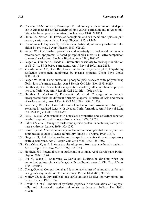- 95. Cockshutt AM, Weitz J, Possmayer F. Pulmonary surfactant-associated protein A enhances the surface activity of lipid extract surfactant and reverses inhibition by blood proteins in vitro. Biochemistry 1990; 29:8424.
- 96. Holm BA, Notter RH. Effects of hemoglobin and cell membrane lipids on pulmonary surfactant activity. J Appl Physiol 1987; 63:1434.
- 97. Fuchimukai T, Fujiwara T, Takahashi A. Artificial pulmonary surfactant inhibition by proteins. J Appl Physiol 1987; 62:429.
- 98. Seeger W, et al. Surface properties and sensitivity to protein-inhibition of a recombinant apoprotein C-based phospholipids mixture in vitro-comparison to natural surfactant. Biochim Biophys Acta 1991; 1081:45.
- 99. Seeger W, Gunther A, Thede C. Differential sensitivity to fibrinogen inhibition of SP-C- vs. SP-B-based surfactants. Am J Physiol 1992; 262:L286.
- 100. Venkitaraman AR, et al. Biophysical inhibition of synthetic phosphilipid-lung surfactant apoprotein admixtures by plasma proteins. Chem Phys Lipids 1991; 57:49.
- 101. Seeger W, et al. Lung surfactant phospholipids associate with polymerizing fibrin: loss of surface activity. Am J Respir Cell Mol Biol 1993; 9:213.
- 102. Gunther A, et al. Surfactant incorporation markedly alters mechanical properties of a fibrin clot. Am J Respir Cell Mol Biol 1995; 13:712.
- 103. Gunther A, Markart P, Kalinowski M, et al. Cleavage of surfactantincorporated fibrin by different fibrinolytic agents. Kinetics of lysis and rescue of surface activity. Am J Respir Cell Mol Biol 1999; 21:738.
- 104. Schermuly RT, et al. Conebulization of surfactant and urokinase restores gas exchange in perfused lungs with alveolar fibrin formation. Am J Physiol Lung Cell Mol Physiol 2001; 280:L792.
- 105. Petty TL, et al. Abnormalities in lung elastic properties and surfactant function in adult respiratory distress syndrome. Chest 1979; 75:571.
- 106. Baker CS, et al. Damage to surfactant-specific protein in acute respiratory distress syndrome. Lancet 1999; 353:1232.
- 107. Pison U, et al. Altered pulmonary surfactant in uncomplicated and septicemiacomplicated courses of acute respiratory failure. J Trauma 1990; 30:19.
- 108. Gregory TJ, et al. Bovine surfactant therapy for patients with acute respiratory distress syndrome. Am J Respir Crit Care Med 1997; 155:1309.
- 109. Kurashima K, et al. Surface activity of sputum from acute asthmatic patients. Am J Respir Crit Care Med I 1997; 155:1254.
- 110. Hohlfeld JM. Potential role of surfactant in asthma. Appl Cardiopulm Pathophysiol 2004; 13:44.
- 111. Liu M, Wang L, Enhorning G. Surfactant dysfunction develops when the immunized guinea-pig is challenged with ovalbumin aerosol. Clin Exp Allergy 1995; 25:1053.
- 112. Cheng G, et al. Compositional and functional changes of pulmonary surfactant in a guinea-pig model of chronic asthma. Respir Med 2001; 95:180.
- 113. Morley CJ, et al. Dry artificial lung surfactant and its effect on very premature babies. Lancet 1981; 1:64.
- 114. Revak SD, et al. The use of synthetic peptides in the formation of biophysically and biologically active pulmonary surfactants. Pediatr Res 1991; 29:460.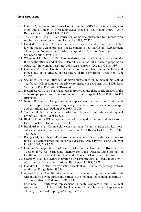- 115. Häfner D, Germann P-G, Hauschke D. Effects of rSP-C surfactant on oxygenation and histology in a rat-lung-lavage model of acute lung injury. Am J Respir Crit Care Med 1998; 158:270.
- 116. Taeusch HW, et al. Characterization of bovine surfactant for infants with respiratory distress syndrome. Pediatrics 1986; 77:572.
- 117. Curstedt T, et al. Artificial surfactant based on different hydrophobic low-molecular-weight proteins. In: Lachmann B, ed. Surfactant Replacement Therapy in Neonatal and Adult Respiratory Distress Syndrome. Berlin: Springer-Verlag, 1988:332.
- 118. Wiseman LR, Bryson HM. Porcine-derived lung surfactant: a review of the therapeutic efficacy and clinical tolerability of a natural surfactant preparation (Curosurf) in neonatal respiratory distress syndrome. Drugs 1994; 48:386.
- 119. Hallman M, et al. Isolation of human surfactant from amniotic fluid and pilot study of its efficacy in respiratory distress syndrome. Pediatrics 1983; 71:473.
- 120. Shalamov VIu, et al. Efficacy of domestic surfactant from human amniotic fluid - surfactant-HL in complex intensive care therapy of newborns with RDS. Ross Vest Perin Ped 1999; 44:29 (Russian).
- 121. Rosenberg OA, et al. Pharmacological properties and therapeutic efficacy of the domestic preparations of lung surfactants. Biull Eksp Biol Med 1998; 126:455 (Russian).
- 122. Notter RH, et al. Lung surfactant replacement in premature lambs with extracted lipids from bovine lung lavage: effects of dose, dispersion technique and gestational age. Pediatr Res 1985; 19:569.
- 123. Yu S, et al. Bovine pulmonary surfactant: chemical composition and physical properties. Lipids 1983; 18:522.
- 124. Bligh EG, Dayer WJ. A rapid method of total lipid extraction and purification. Can J Biochem Physiol 1959; 37:911.
- 125. Bernhard W, et al. Commercial versus native surfactants surface activity, molecular components, and the effect of calcium. Am J Respir Crit Care Med 2000; 162:1524.
- 126. Rudiger M, et al. Naturally derived commercial surfactants differ in composition of surfactant lipids and in surface viscosity. Am J Physiol Lung Cell Mol Physiol 2005; 288:L379.
- 127. Gunther A, Seeger W. Resistance to surfactant inactivation. In: Robertson B, Taeusch HW, eds. Surfactant Therapy for Lung Disease, Lung Biology in Health and Disease. Vol. 84. New York: Marcel Dekker, Inc., 1995:269.
- 128. Seeger W, et al. Surfactant inhibition by plasma proteins: differential sensitivity of various surfactant preparations. Eur Respir J 1993; 6:971.
- 129. Halliday HL. Natural vs synthetic surfactant in neonatal respiratory distress syndrome. Drugs 1996; 51:226.
- 130. Arnold C, et al. A multicenter, randomized trial comparing synthetic surfactant with modified bovine surfactant extract in the treatment of neonatal respiratory distress syndrome. Pediatrics 1996; 97:1.
- 131. Lachmann B. Surfactant replacement in acute respiratory failure: animal studies and first clinical trials. In: Lachmann B, ed. Surfactant Replacement Therapy. New York: Springer-Verlag, 1987:212.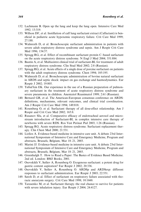- 132. Lachmann B. Open up the lung and keep the lung open. Intensive Care Med 1992; 13:319.
- 133. Willson DF, et al. Instillation of calf lung surfactant extract (Calfactant) is beneficial in pediatric acute hypoxemic respiratory failure. Crit Care Med 1999; 27:188.
- 134. Walmrath D, et al. Bronchoscopic surfactant administration in patients with severe adult respiratory distress syndrome and sepsis. Am J Respir Crit Care Med 1996; 154:57.
- 135. Spragg RG, et al. Effect of recombinant surfactant protein C–based surfactant on the acute respiratory distress syndrome. N Engl J Med 2004; 351:884.
- 136. Bautin A, et al. Multicentre clinical trial of surfactant-BL for treatment of adult respiratory distress syndrome. Clin Stud Med 2002; 2:8 (Russian).
- 137. Spragg RG, et al. Acute effects of a single dose of porcine surfactant on patients with the adult respiratory distress syndrome. Chest 1994; 105:195.
- 138. Walmrath D, et al. Bronchoscopic administration of bovine natural surfactant in ARDS and septic shock: impact on gas exchange and haemodynamics. Eur Respir J 2002; 19:805.
- 139. Tsibul'kin EK. Our experience in the use of a Russian preparation of pulmonary surfactant in the treatment of acute respiratory distress syndrome and severe pneumonia in children. Anesteziol Reanimatol 1999; 2:61 (Russian).
- 140. Bernard GR, et al. The American-European consensus conference on ARDS: definitions, mechanisms, relevant outcomes, and clinical trial coordination. Am J Respir Crit Care Med 1994; 149:818.
- 141. Rosenberg O, et al. Surfactant therapy of all dose-effect relationship. Am J Respir and Crit Care Med 2002; 165:8.
- 142. Rusanov SIu, et al. Comparative efficacy of endotracheal aerosol and microstream introduction of Surfactant-BL in complex intensive care therapy of newborns with severe RDS. Ros Vest Perinat Ped 2003; 1:26 (Russian).
- 143. Spragg RG. Acute respiratory distress syndrome. Surfactant replacement therapy. Clin Chest Med 2000; 21:531.
- 144. Liolios A. Evidence-based medicine in intensive care unit. A debate 23rd International Symposium of Intensive Care and Emergency Medicine, Program and abstracts, Brussels, Belgium, Mar 18–21, 2003.
- 145. Marini JJ. Evidence-based medicine in intensive care unit. A debate 23rd International Symposium of Intensive Care and Emergency Medicine, Program and abstracts, Brussels, Belgium, Mar 18–21, 2003.
- 146. Greenhalgh T. How to Read a Paper: The Basics of Evidence Based Medicine. 2nd ed. London: BMJ Books, 2001.
- 147. Osovskikh V, Seiliev A, Rosenberg O. Exogenous surfactant: a potent drug for gastric content aspiration? Eur Respir J 2002; 20:336.
- 148. Osovskikh V, Seiliev A, Rosenberg O. ARDSp and ARDSexp: different responses to surfactant administration. Eur Respir J 2003; 22:551.
- 149. Satoh D, et al. Effect of surfactant on respiratory failure associated with thoracic aneurysm surgery. Crit Care Med 1998; 10:1660.
- 150. Tarasenko M, et al. Surfactant therapy–the real chance to survive for patients with severe inhalation injury. Eur Respir J 2004; 24:4127.